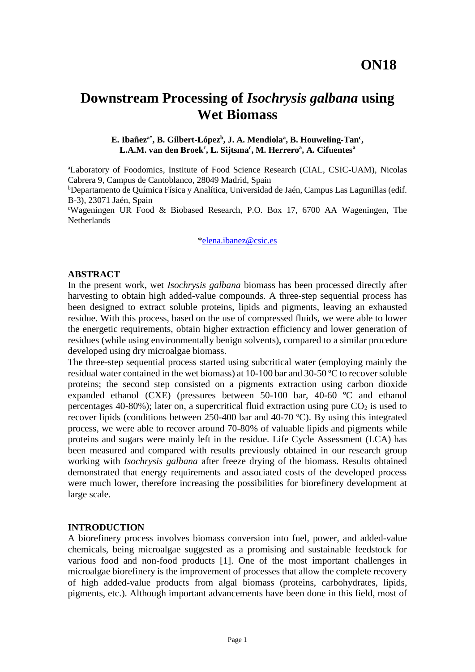# **Downstream Processing of** *Isochrysis galbana* **using Wet Biomass**

#### E. Ibañez<sup>a\*</sup>, B. Gilbert-López<sup>b</sup>, J. A. Mendiola<sup>a</sup>, B. Houweling-Tan<sup>c</sup>, **L.A.M. van den Broek<sup>c</sup> , L. Sijtsma<sup>c</sup> , M. Herrero<sup>a</sup> , A. Cifuentes<sup>a</sup>**

<sup>a</sup>Laboratory of Foodomics, Institute of Food Science Research (CIAL, CSIC-UAM), Nicolas Cabrera 9, Campus de Cantoblanco, 28049 Madrid, Spain

<sup>b</sup>Departamento de Química Física y Analítica, Universidad de Jaén, Campus Las Lagunillas (edif. B-3), 23071 Jaén, Spain

<sup>c</sup>Wageningen UR Food & Biobased Research, P.O. Box 17, 6700 AA Wageningen, The **Netherlands** 

[\\*elena.ibanez@csic.es](mailto:elena.ibanez@csic.es)

#### **ABSTRACT**

In the present work, wet *Isochrysis galbana* biomass has been processed directly after harvesting to obtain high added-value compounds. A three-step sequential process has been designed to extract soluble proteins, lipids and pigments, leaving an exhausted residue. With this process, based on the use of compressed fluids, we were able to lower the energetic requirements, obtain higher extraction efficiency and lower generation of residues (while using environmentally benign solvents), compared to a similar procedure developed using dry microalgae biomass.

The three-step sequential process started using subcritical water (employing mainly the residual water contained in the wet biomass) at 10-100 bar and 30-50 ºC to recover soluble proteins; the second step consisted on a pigments extraction using carbon dioxide expanded ethanol (CXE) (pressures between 50-100 bar, 40-60 ºC and ethanol percentages 40-80%); later on, a supercritical fluid extraction using pure  $CO<sub>2</sub>$  is used to recover lipids (conditions between 250-400 bar and 40-70 ºC). By using this integrated process, we were able to recover around 70-80% of valuable lipids and pigments while proteins and sugars were mainly left in the residue. Life Cycle Assessment (LCA) has been measured and compared with results previously obtained in our research group working with *Isochrysis galbana* after freeze drying of the biomass. Results obtained demonstrated that energy requirements and associated costs of the developed process were much lower, therefore increasing the possibilities for biorefinery development at large scale.

#### **INTRODUCTION**

A biorefinery process involves biomass conversion into fuel, power, and added-value chemicals, being microalgae suggested as a promising and sustainable feedstock for various food and non-food products [1]. One of the most important challenges in microalgae biorefinery is the improvement of processes that allow the complete recovery of high added-value products from algal biomass (proteins, carbohydrates, lipids, pigments, etc.). Although important advancements have been done in this field, most of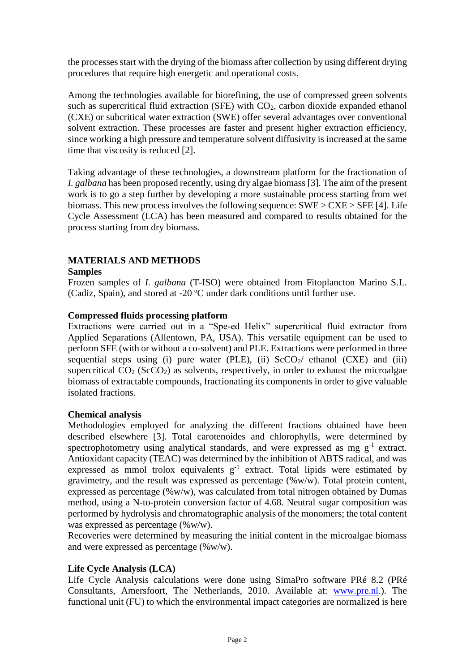the processes start with the drying of the biomass after collection by using different drying procedures that require high energetic and operational costs.

Among the technologies available for biorefining, the use of compressed green solvents such as supercritical fluid extraction (SFE) with  $CO<sub>2</sub>$ , carbon dioxide expanded ethanol (CXE) or subcritical water extraction (SWE) offer several advantages over conventional solvent extraction. These processes are faster and present higher extraction efficiency, since working a high pressure and temperature solvent diffusivity is increased at the same time that viscosity is reduced [2].

Taking advantage of these technologies, a downstream platform for the fractionation of *I. galbana* has been proposed recently, using dry algae biomass [3]. The aim of the present work is to go a step further by developing a more sustainable process starting from wet biomass. This new process involves the following sequence: SWE > CXE > SFE [4]. Life Cycle Assessment (LCA) has been measured and compared to results obtained for the process starting from dry biomass.

# **MATERIALS AND METHODS**

## **Samples**

Frozen samples of *I. galbana* (T-ISO) were obtained from Fitoplancton Marino S.L. (Cadiz, Spain), and stored at -20 ºC under dark conditions until further use.

## **Compressed fluids processing platform**

Extractions were carried out in a "Spe-ed Helix" supercritical fluid extractor from Applied Separations (Allentown, PA, USA). This versatile equipment can be used to perform SFE (with or without a co-solvent) and PLE. Extractions were performed in three sequential steps using (i) pure water (PLE), (ii)  $ScCO_2$  ethanol (CXE) and (iii) supercritical  $CO<sub>2</sub> (ScCO<sub>2</sub>)$  as solvents, respectively, in order to exhaust the microalgae biomass of extractable compounds, fractionating its components in order to give valuable isolated fractions.

## **Chemical analysis**

Methodologies employed for analyzing the different fractions obtained have been described elsewhere [3]. Total carotenoides and chlorophylls, were determined by spectrophotometry using analytical standards, and were expressed as mg  $g^{-1}$  extract. Antioxidant capacity (TEAC) was determined by the inhibition of ABTS radical, and was expressed as mmol trolox equivalents  $g^{-1}$  extract. Total lipids were estimated by gravimetry, and the result was expressed as percentage (%w/w). Total protein content, expressed as percentage  $(\% w/w)$ , was calculated from total nitrogen obtained by Dumas method, using a N-to-protein conversion factor of 4.68. Neutral sugar composition was performed by hydrolysis and chromatographic analysis of the monomers; the total content was expressed as percentage (%w/w).

Recoveries were determined by measuring the initial content in the microalgae biomass and were expressed as percentage (%w/w).

## **Life Cycle Analysis (LCA)**

Life Cycle Analysis calculations were done using SimaPro software PRé 8.2 (PRé Consultants, Amersfoort, The Netherlands, 2010. Available at: [www.pre.nl.](http://www.pre.nl/)). The functional unit (FU) to which the environmental impact categories are normalized is here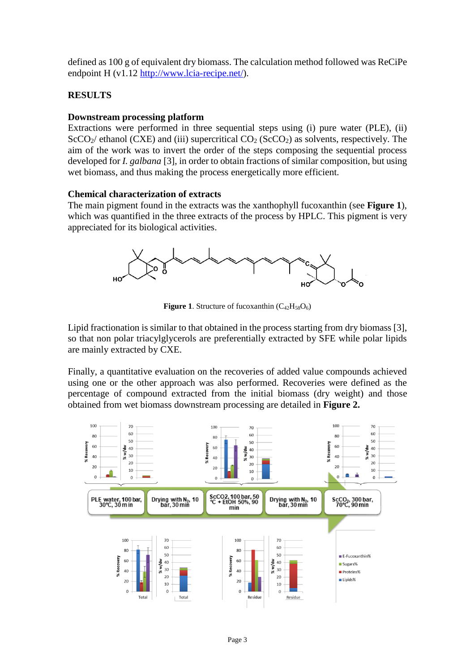defined as 100 g of equivalent dry biomass. The calculation method followed was ReCiPe endpoint H (v1.12 [http://www.lcia-recipe.net/\)](http://www.lcia-recipe.net/).

## **RESULTS**

## **Downstream processing platform**

Extractions were performed in three sequential steps using (i) pure water (PLE), (ii)  $SCO<sub>2</sub>$  ethanol (CXE) and (iii) supercritical  $CO<sub>2</sub>$  (ScCO<sub>2</sub>) as solvents, respectively. The aim of the work was to invert the order of the steps composing the sequential process developed for *I. galbana* [3], in order to obtain fractions of similar composition, but using wet biomass, and thus making the process energetically more efficient.

## **Chemical characterization of extracts**

The main pigment found in the extracts was the xanthophyll fucoxanthin (see **Figure 1**), which was quantified in the three extracts of the process by HPLC. This pigment is very appreciated for its biological activities.



**Figure 1.** Structure of fucoxanthin  $(C_{42}H_{58}O_6)$ 

Lipid fractionation is similar to that obtained in the process starting from dry biomass [3], so that non polar triacylglycerols are preferentially extracted by SFE while polar lipids are mainly extracted by CXE.

Finally, a quantitative evaluation on the recoveries of added value compounds achieved using one or the other approach was also performed. Recoveries were defined as the percentage of compound extracted from the initial biomass (dry weight) and those obtained from wet biomass downstream processing are detailed in **Figure 2.**

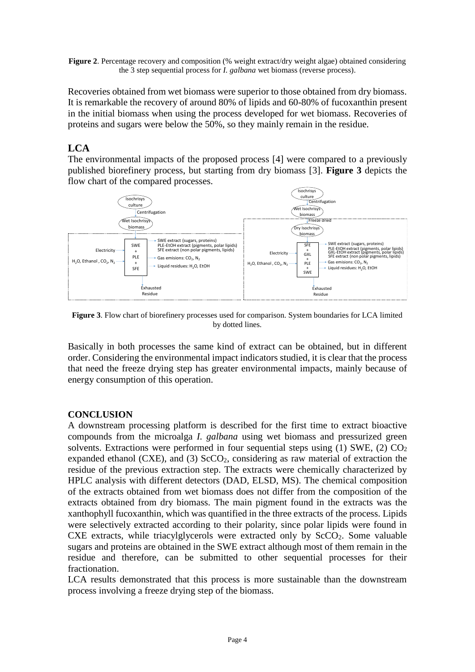**Figure 2.** Percentage recovery and composition (% weight extract/dry weight algae) obtained considering the 3 step sequential process for *I. galbana* wet biomass (reverse process).

Recoveries obtained from wet biomass were superior to those obtained from dry biomass. It is remarkable the recovery of around 80% of lipids and 60-80% of fucoxanthin present in the initial biomass when using the process developed for wet biomass. Recoveries of proteins and sugars were below the 50%, so they mainly remain in the residue.

## **LCA**

The environmental impacts of the proposed process [4] were compared to a previously published biorefinery process, but starting from dry biomass [3]. **Figure 3** depicts the flow chart of the compared processes.



**Figure 3**. Flow chart of biorefinery processes used for comparison. System boundaries for LCA limited by dotted lines.

Basically in both processes the same kind of extract can be obtained, but in different order. Considering the environmental impact indicators studied, it is clear that the process that need the freeze drying step has greater environmental impacts, mainly because of energy consumption of this operation.

#### **CONCLUSION**

A downstream processing platform is described for the first time to extract bioactive compounds from the microalga *I. galbana* using wet biomass and pressurized green solvents. Extractions were performed in four sequential steps using  $(1)$  SWE,  $(2)$  CO<sub>2</sub> expanded ethanol (CXE), and (3)  $ScCO<sub>2</sub>$ , considering as raw material of extraction the residue of the previous extraction step. The extracts were chemically characterized by HPLC analysis with different detectors (DAD, ELSD, MS). The chemical composition of the extracts obtained from wet biomass does not differ from the composition of the extracts obtained from dry biomass. The main pigment found in the extracts was the xanthophyll fucoxanthin, which was quantified in the three extracts of the process. Lipids were selectively extracted according to their polarity, since polar lipids were found in CXE extracts, while triacylglycerols were extracted only by  $SCO<sub>2</sub>$ . Some valuable sugars and proteins are obtained in the SWE extract although most of them remain in the residue and therefore, can be submitted to other sequential processes for their fractionation.

LCA results demonstrated that this process is more sustainable than the downstream process involving a freeze drying step of the biomass.